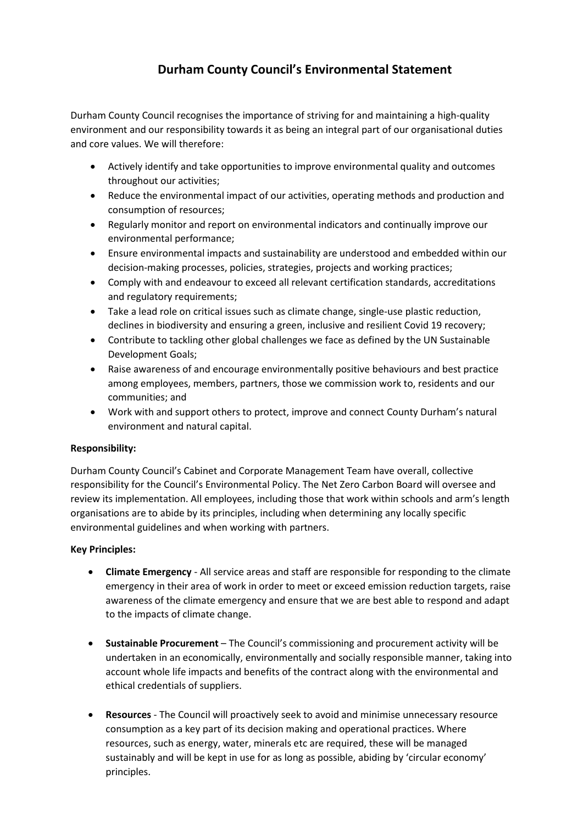## **Durham County Council's Environmental Statement**

Durham County Council recognises the importance of striving for and maintaining a high-quality environment and our responsibility towards it as being an integral part of our organisational duties and core values. We will therefore:

- Actively identify and take opportunities to improve environmental quality and outcomes throughout our activities;
- Reduce the environmental impact of our activities, operating methods and production and consumption of resources;
- Regularly monitor and report on environmental indicators and continually improve our environmental performance;
- Ensure environmental impacts and sustainability are understood and embedded within our decision-making processes, policies, strategies, projects and working practices;
- Comply with and endeavour to exceed all relevant certification standards, accreditations and regulatory requirements;
- Take a lead role on critical issues such as climate change, single-use plastic reduction, declines in biodiversity and ensuring a green, inclusive and resilient Covid 19 recovery;
- Contribute to tackling other global challenges we face as defined by the UN Sustainable Development Goals;
- Raise awareness of and encourage environmentally positive behaviours and best practice among employees, members, partners, those we commission work to, residents and our communities; and
- Work with and support others to protect, improve and connect County Durham's natural environment and natural capital.

## **Responsibility:**

Durham County Council's Cabinet and Corporate Management Team have overall, collective responsibility for the Council's Environmental Policy. The Net Zero Carbon Board will oversee and review its implementation. All employees, including those that work within schools and arm's length organisations are to abide by its principles, including when determining any locally specific environmental guidelines and when working with partners.

## **Key Principles:**

- **Climate Emergency** All service areas and staff are responsible for responding to the climate emergency in their area of work in order to meet or exceed emission reduction targets, raise awareness of the climate emergency and ensure that we are best able to respond and adapt to the impacts of climate change.
- **Sustainable Procurement** The Council's commissioning and procurement activity will be undertaken in an economically, environmentally and socially responsible manner, taking into account whole life impacts and benefits of the contract along with the environmental and ethical credentials of suppliers.
- **Resources** The Council will proactively seek to avoid and minimise unnecessary resource consumption as a key part of its decision making and operational practices. Where resources, such as energy, water, minerals etc are required, these will be managed sustainably and will be kept in use for as long as possible, abiding by 'circular economy' principles.